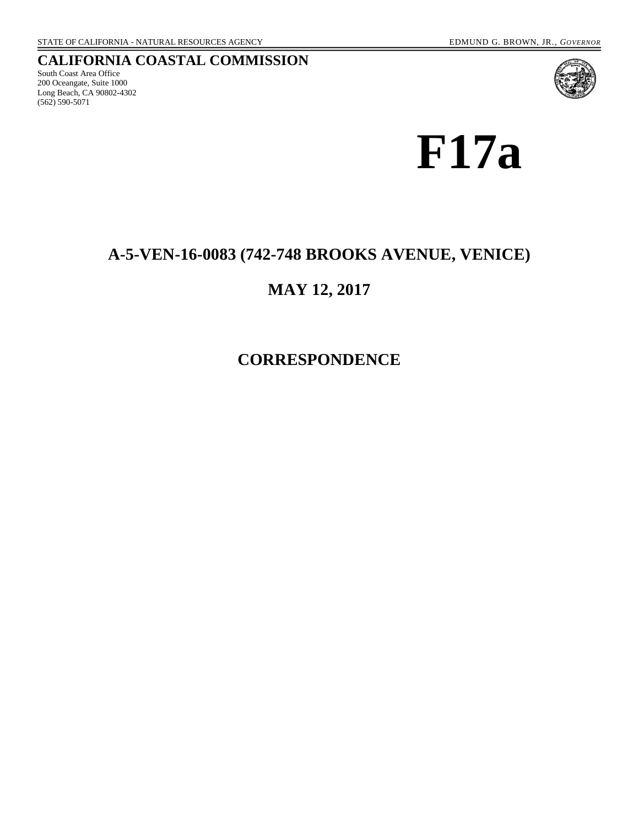#### **CALIFORNIA COASTAL COMMISSION**

South Coast Area Office 200 Oceangate, Suite 1000 Long Beach, CA 90802-4302 (562) 590-5071



**F17a** 

#### **A-5-VEN-16-0083 (742-748 BROOKS AVENUE, VENICE)**

### **MAY 12, 2017**

**CORRESPONDENCE**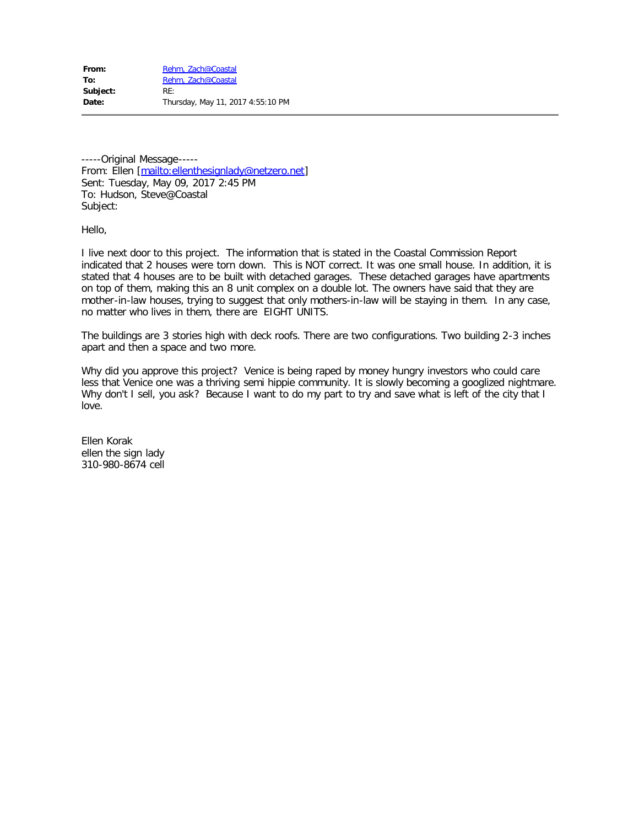From: [Rehm, Zach@Coastal](mailto:/O=MMS/OU=EXCHANGE ADMINISTRATIVE GROUP (FYDIBOHF23SPDLT)/CN=RECIPIENTS/CN=REHM, ZACH@CO19A9A1FF-42F5-4252-8464-12CCBA446B1F019) To: [Rehm, Zach@Coastal](mailto:Zach.Rehm@coastal.ca.gov) **Subject:** RE: **Date:** Thursday, May 11, 2017 4:55:10 PM

-----Original Message---- From: Ellen [[mailto:ellenthesignlady@netzero.net\]](mailto:ellenthesignlady@netzero.net) Sent: Tuesday, May 09, 2017 2:45 PM To: Hudson, Steve@Coastal Subject:

Hello,

I live next door to this project. The information that is stated in the Coastal Commission Report indicated that 2 houses were torn down. This is NOT correct. It was one small house. In addition, it is stated that 4 houses are to be built with detached garages. These detached garages have apartments on top of them, making this an 8 unit complex on a double lot. The owners have said that they are mother-in-law houses, trying to suggest that only mothers-in-law will be staying in them. In any case, no matter who lives in them, there are EIGHT UNITS.

The buildings are 3 stories high with deck roofs. There are two configurations. Two building 2-3 inches apart and then a space and two more.

Why did you approve this project? Venice is being raped by money hungry investors who could care less that Venice one was a thriving semi hippie community. It is slowly becoming a googlized nightmare. Why don't I sell, you ask? Because I want to do my part to try and save what is left of the city that I love.

Ellen Korak ellen the sign lady 310-980-8674 cell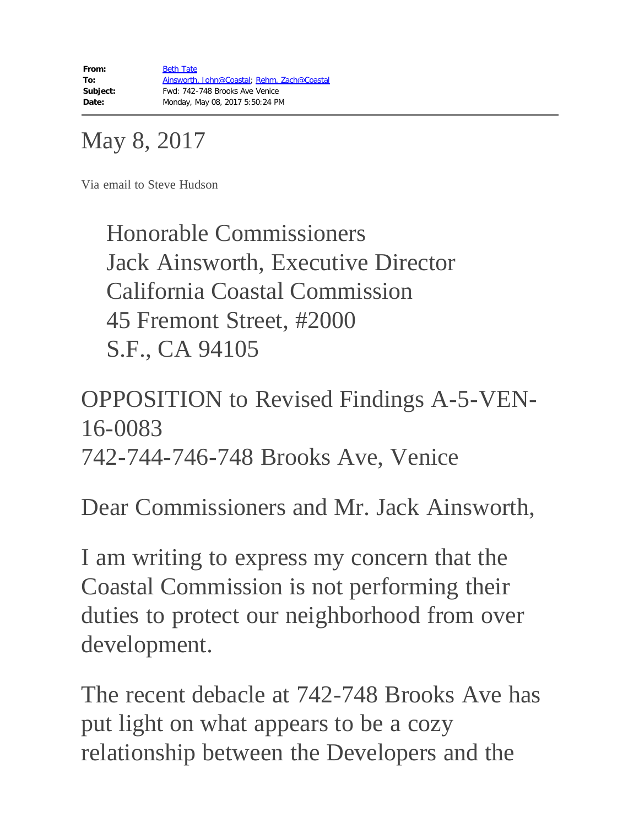# May 8, 2017

Via email to Steve Hudson

Honorable Commissioners Jack Ainsworth, Executive Director California Coastal Commission 45 Fremont Street, #2000 S.F., CA 94105

## OPPOSITION to Revised Findings A-5-VEN-16-0083 742-744-746-748 Brooks Ave, Venice

Dear Commissioners and Mr. Jack Ainsworth,

I am writing to express my concern that the Coastal Commission is not performing their duties to protect our neighborhood from over development.

The recent debacle at 742-748 Brooks Ave has put light on what appears to be a cozy relationship between the Developers and the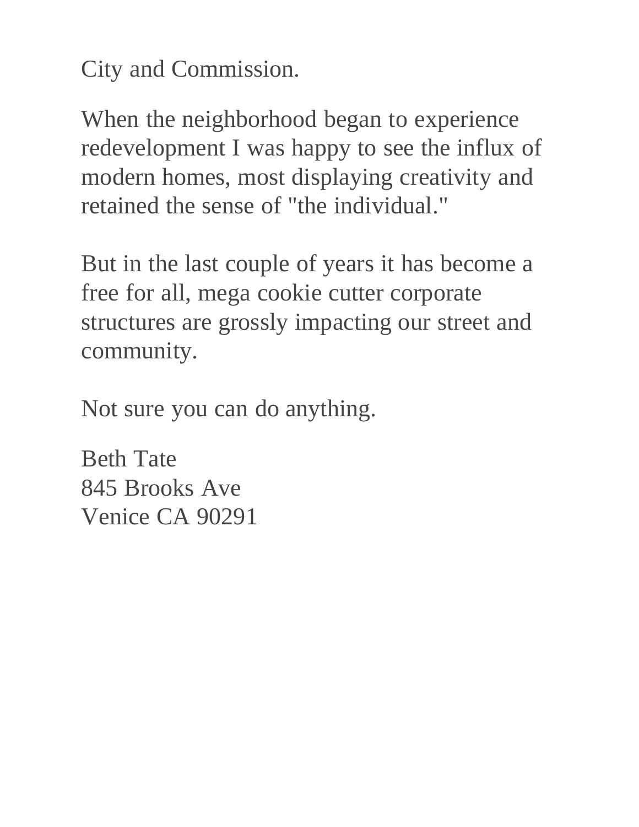City and Commission.

When the neighborhood began to experience redevelopment I was happy to see the influx of modern homes, most displaying creativity and retained the sense of "the individual."

But in the last couple of years it has become a free for all, mega cookie cutter corporate structures are grossly impacting our street and community.

Not sure you can do anything.

Beth Tate 845 Brooks Ave Venice CA 90291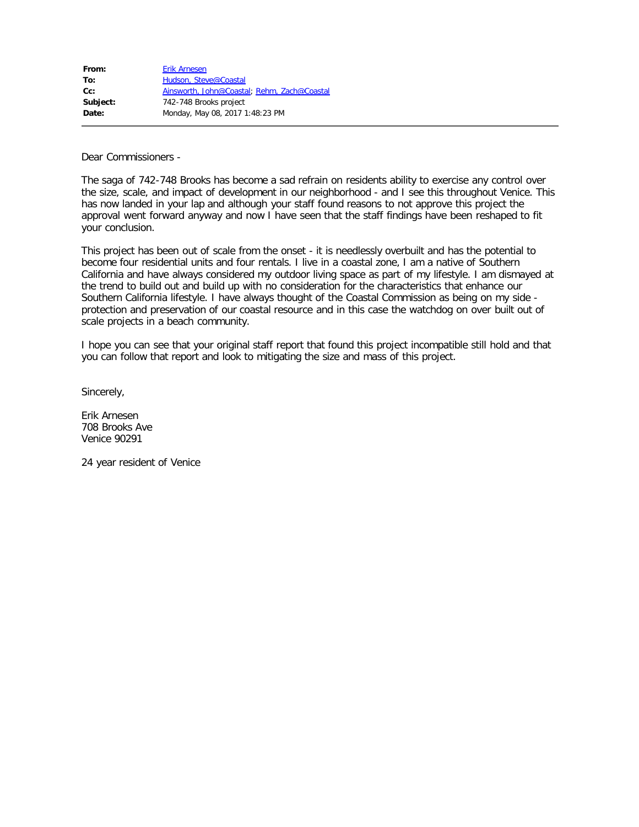| <b>Erik Arnesen</b>                         |
|---------------------------------------------|
| Hudson, Steve@Coastal                       |
| Ainsworth, John@Coastal; Rehm, Zach@Coastal |
| 742-748 Brooks project                      |
| Monday, May 08, 2017 1:48:23 PM             |
|                                             |

Dear Commissioners -

The saga of 742-748 Brooks has become a sad refrain on residents ability to exercise any control over the size, scale, and impact of development in our neighborhood - and I see this throughout Venice. This has now landed in your lap and although your staff found reasons to not approve this project the approval went forward anyway and now I have seen that the staff findings have been reshaped to fit your conclusion.

This project has been out of scale from the onset - it is needlessly overbuilt and has the potential to become four residential units and four rentals. I live in a coastal zone, I am a native of Southern California and have always considered my outdoor living space as part of my lifestyle. I am dismayed at the trend to build out and build up with no consideration for the characteristics that enhance our Southern California lifestyle. I have always thought of the Coastal Commission as being on my side protection and preservation of our coastal resource and in this case the watchdog on over built out of scale projects in a beach community.

I hope you can see that your original staff report that found this project incompatible still hold and that you can follow that report and look to mitigating the size and mass of this project.

Sincerely,

Erik Arnesen 708 Brooks Ave Venice 90291

24 year resident of Venice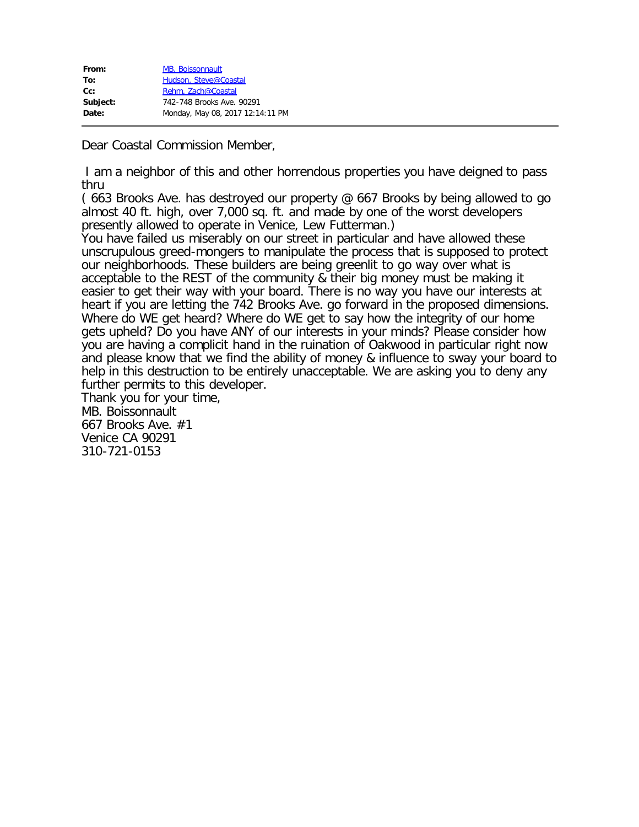| From:    | <b>MB. Boissonnault</b>          |
|----------|----------------------------------|
| To:      | Hudson, Steve@Coastal            |
| $Cc$ :   | Rehm. Zach@Coastal               |
| Subject: | 742-748 Brooks Ave. 90291        |
| Date:    | Monday, May 08, 2017 12:14:11 PM |

Dear Coastal Commission Member,

I am a neighbor of this and other horrendous properties you have deigned to pass thru

( 663 Brooks Ave. has destroyed our property @ 667 Brooks by being allowed to go almost 40 ft. high, over 7,000 sq. ft. and made by one of the worst developers presently allowed to operate in Venice, Lew Futterman.)

You have failed us miserably on our street in particular and have allowed these unscrupulous greed-mongers to manipulate the process that is supposed to protect our neighborhoods. These builders are being greenlit to go way over what is acceptable to the REST of the community & their big money must be making it easier to get their way with your board. There is no way you have our interests at heart if you are letting the 742 Brooks Ave. go forward in the proposed dimensions. Where do WE get heard? Where do WE get to say how the integrity of our home gets upheld? Do you have ANY of our interests in your minds? Please consider how you are having a complicit hand in the ruination of Oakwood in particular right now and please know that we find the ability of money & influence to sway your board to help in this destruction to be entirely unacceptable. We are asking you to deny any further permits to this developer.

Thank you for your time, MB. Boissonnault 667 Brooks Ave. #1 Venice CA 90291 310-721-0153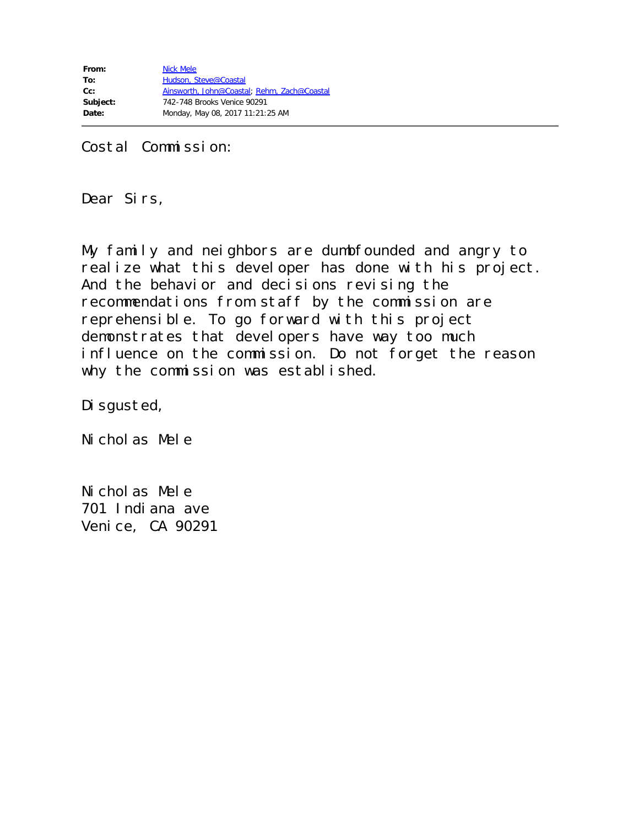Costal Commission:

Dear Sirs,

My family and neighbors are dumbfounded and angry to realize what this developer has done with his project. And the behavior and decisions revising the recommendations from staff by the commission are reprehensible. To go forward with this project demonstrates that developers have way too much influence on the commission. Do not forget the reason why the commission was established.

Disgusted,

Nicholas Mele

Nicholas Mele 701 Indiana ave Venice, CA 90291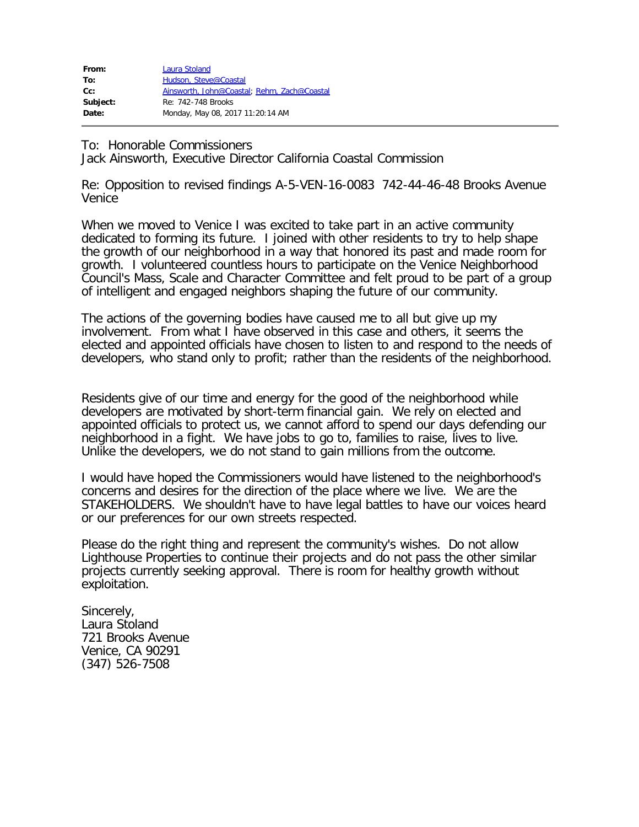| From:    | Laura Stoland                               |
|----------|---------------------------------------------|
| To:      | Hudson, Steve@Coastal                       |
| $Cc$ :   | Ainsworth, John@Coastal; Rehm, Zach@Coastal |
| Subject: | Re: 742-748 Brooks                          |
| Date:    | Monday, May 08, 2017 11:20:14 AM            |

To: Honorable Commissioners

Jack Ainsworth, Executive Director California Coastal Commission

Re: Opposition to revised findings A-5-VEN-16-0083 742-44-46-48 Brooks Avenue Venice

When we moved to Venice I was excited to take part in an active community dedicated to forming its future. I joined with other residents to try to help shape the growth of our neighborhood in a way that honored its past and made room for growth. I volunteered countless hours to participate on the Venice Neighborhood Council's Mass, Scale and Character Committee and felt proud to be part of a group of intelligent and engaged neighbors shaping the future of our community.

The actions of the governing bodies have caused me to all but give up my involvement. From what I have observed in this case and others, it seems the elected and appointed officials have chosen to listen to and respond to the needs of developers, who stand only to profit; rather than the residents of the neighborhood.

Residents give of our time and energy for the good of the neighborhood while developers are motivated by short-term financial gain. We rely on elected and appointed officials to protect us, we cannot afford to spend our days defending our neighborhood in a fight. We have jobs to go to, families to raise, lives to live. Unlike the developers, we do not stand to gain millions from the outcome.

I would have hoped the Commissioners would have listened to the neighborhood's concerns and desires for the direction of the place where we live. We are the STAKEHOLDERS. We shouldn't have to have legal battles to have our voices heard or our preferences for our own streets respected.

Please do the right thing and represent the community's wishes. Do not allow Lighthouse Properties to continue their projects and do not pass the other similar projects currently seeking approval. There is room for healthy growth without exploitation.

Sincerely, Laura Stoland 721 Brooks Avenue Venice, CA 90291 (347) 526-7508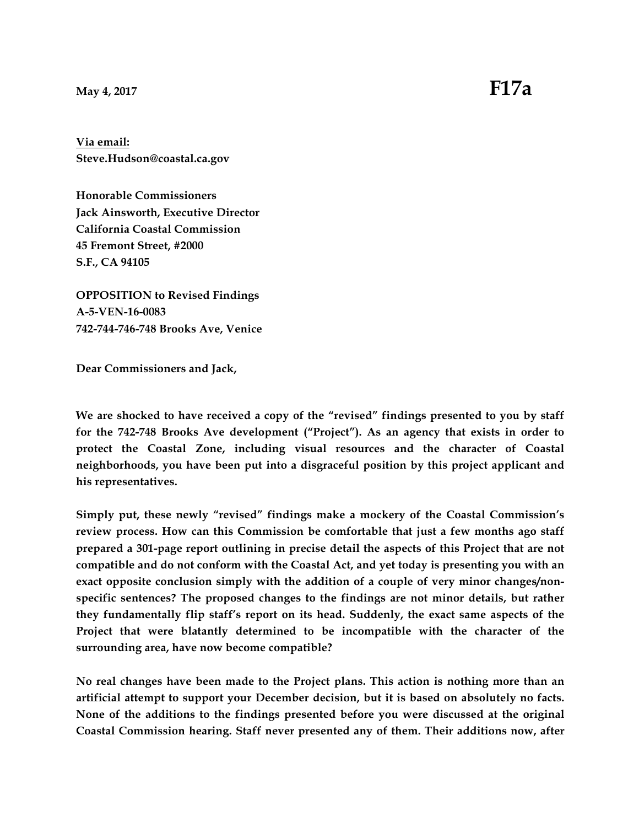**Via email: Steve.Hudson@coastal.ca.gov**

**Honorable Commissioners Jack Ainsworth, Executive Director California Coastal Commission 45 Fremont Street, #2000 S.F., CA 94105**

**OPPOSITION to Revised Findings A-5-VEN-16-0083 742-744-746-748 Brooks Ave, Venice**

**Dear Commissioners and Jack,**

**We are shocked to have received a copy of the "revised" findings presented to you by staff for the 742-748 Brooks Ave development ("Project"). As an agency that exists in order to protect the Coastal Zone, including visual resources and the character of Coastal neighborhoods, you have been put into a disgraceful position by this project applicant and his representatives.**

**Simply put, these newly "revised" findings make a mockery of the Coastal Commission's review process. How can this Commission be comfortable that just a few months ago staff prepared a 301-page report outlining in precise detail the aspects of this Project that are not compatible and do not conform with the Coastal Act, and yet today is presenting you with an exact opposite conclusion simply with the addition of a couple of very minor changes/nonspecific sentences? The proposed changes to the findings are not minor details, but rather they fundamentally flip staff's report on its head. Suddenly, the exact same aspects of the Project that were blatantly determined to be incompatible with the character of the surrounding area, have now become compatible?**

**No real changes have been made to the Project plans. This action is nothing more than an artificial attempt to support your December decision, but it is based on absolutely no facts. None of the additions to the findings presented before you were discussed at the original Coastal Commission hearing. Staff never presented any of them. Their additions now, after**